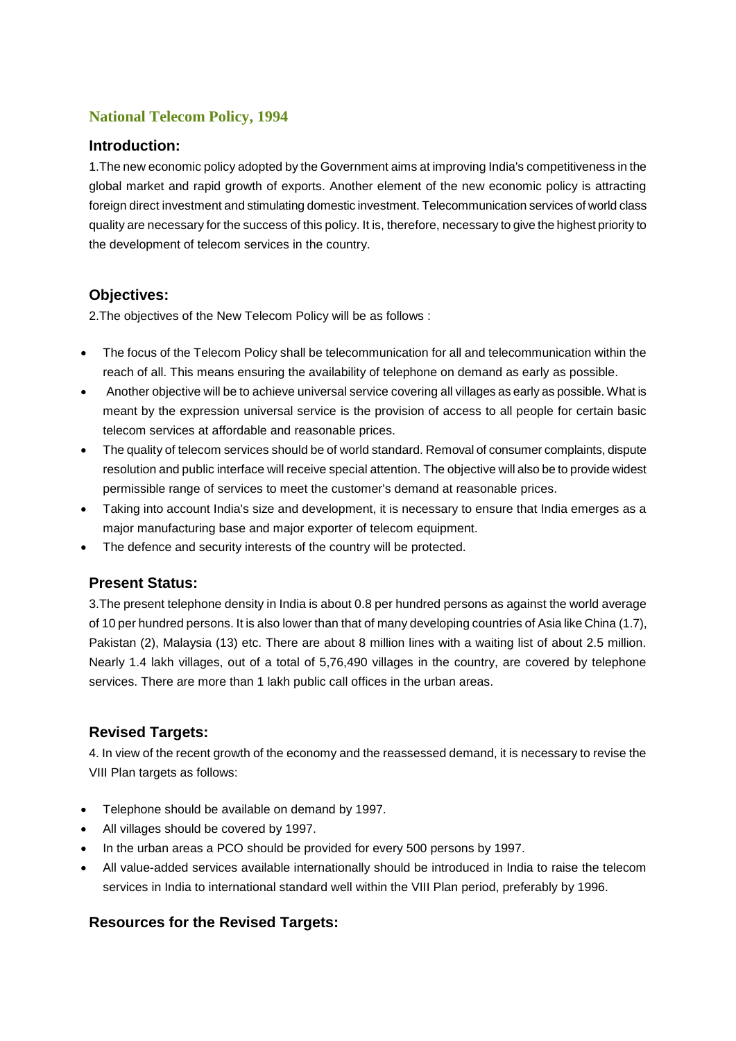# **National Telecom Policy, 1994**

### **Introduction:**

1.The new economic policy adopted by the Government aims at improving India's competitiveness in the global market and rapid growth of exports. Another element of the new economic policy is attracting foreign direct investment and stimulating domestic investment. Telecommunication services of world class quality are necessary for the success of this policy. It is, therefore, necessary to give the highest priority to the development of telecom services in the country.

## **Objectives:**

2.The objectives of the New Telecom Policy will be as follows :

- The focus of the Telecom Policy shall be telecommunication for all and telecommunication within the reach of all. This means ensuring the availability of telephone on demand as early as possible.
- Another objective will be to achieve universal service covering all villages as early as possible. What is meant by the expression universal service is the provision of access to all people for certain basic telecom services at affordable and reasonable prices.
- The quality of telecom services should be of world standard. Removal of consumer complaints, dispute resolution and public interface will receive special attention. The objective will also be to provide widest permissible range of services to meet the customer's demand at reasonable prices.
- Taking into account India's size and development, it is necessary to ensure that India emerges as a major manufacturing base and major exporter of telecom equipment.
- The defence and security interests of the country will be protected.

### **Present Status:**

3.The present telephone density in India is about 0.8 per hundred persons as against the world average of 10 per hundred persons. It is also lower than that of many developing countries of Asia like China (1.7), Pakistan (2), Malaysia (13) etc. There are about 8 million lines with a waiting list of about 2.5 million. Nearly 1.4 lakh villages, out of a total of 5,76,490 villages in the country, are covered by telephone services. There are more than 1 lakh public call offices in the urban areas.

### **Revised Targets:**

4. In view of the recent growth of the economy and the reassessed demand, it is necessary to revise the VIII Plan targets as follows:

- Telephone should be available on demand by 1997.
- All villages should be covered by 1997.
- In the urban areas a PCO should be provided for every 500 persons by 1997.
- All value-added services available internationally should be introduced in India to raise the telecom services in India to international standard well within the VIII Plan period, preferably by 1996.

# **Resources for the Revised Targets:**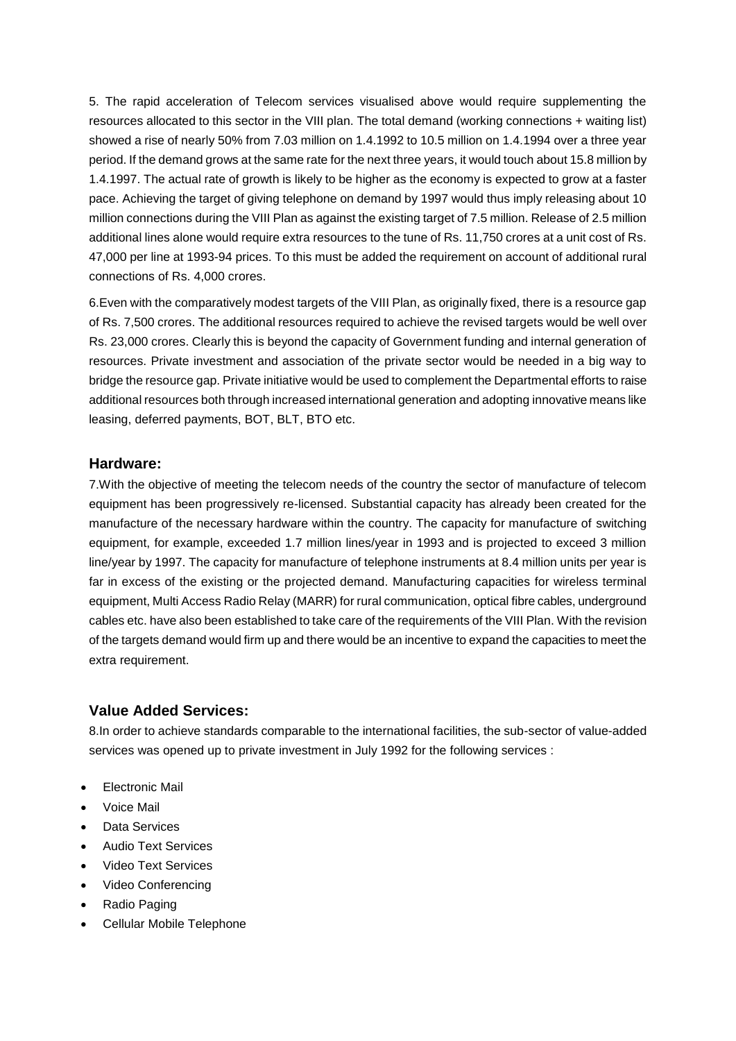5. The rapid acceleration of Telecom services visualised above would require supplementing the resources allocated to this sector in the VIII plan. The total demand (working connections + waiting list) showed a rise of nearly 50% from 7.03 million on 1.4.1992 to 10.5 million on 1.4.1994 over a three year period. If the demand grows at the same rate for the next three years, it would touch about 15.8 million by 1.4.1997. The actual rate of growth is likely to be higher as the economy is expected to grow at a faster pace. Achieving the target of giving telephone on demand by 1997 would thus imply releasing about 10 million connections during the VIII Plan as against the existing target of 7.5 million. Release of 2.5 million additional lines alone would require extra resources to the tune of Rs. 11,750 crores at a unit cost of Rs. 47,000 per line at 1993-94 prices. To this must be added the requirement on account of additional rural connections of Rs. 4,000 crores.

6.Even with the comparatively modest targets of the VIII Plan, as originally fixed, there is a resource gap of Rs. 7,500 crores. The additional resources required to achieve the revised targets would be well over Rs. 23,000 crores. Clearly this is beyond the capacity of Government funding and internal generation of resources. Private investment and association of the private sector would be needed in a big way to bridge the resource gap. Private initiative would be used to complement the Departmental efforts to raise additional resources both through increased international generation and adopting innovative means like leasing, deferred payments, BOT, BLT, BTO etc.

#### **Hardware:**

7.With the objective of meeting the telecom needs of the country the sector of manufacture of telecom equipment has been progressively re-licensed. Substantial capacity has already been created for the manufacture of the necessary hardware within the country. The capacity for manufacture of switching equipment, for example, exceeded 1.7 million lines/year in 1993 and is projected to exceed 3 million line/year by 1997. The capacity for manufacture of telephone instruments at 8.4 million units per year is far in excess of the existing or the projected demand. Manufacturing capacities for wireless terminal equipment, Multi Access Radio Relay (MARR) for rural communication, optical fibre cables, underground cables etc. have also been established to take care of the requirements of the VIII Plan. With the revision of the targets demand would firm up and there would be an incentive to expand the capacities to meet the extra requirement.

### **Value Added Services:**

8.In order to achieve standards comparable to the international facilities, the sub-sector of value-added services was opened up to private investment in July 1992 for the following services :

- Electronic Mail
- Voice Mail
- Data Services
- Audio Text Services
- Video Text Services
- Video Conferencing
- Radio Paging
- Cellular Mobile Telephone